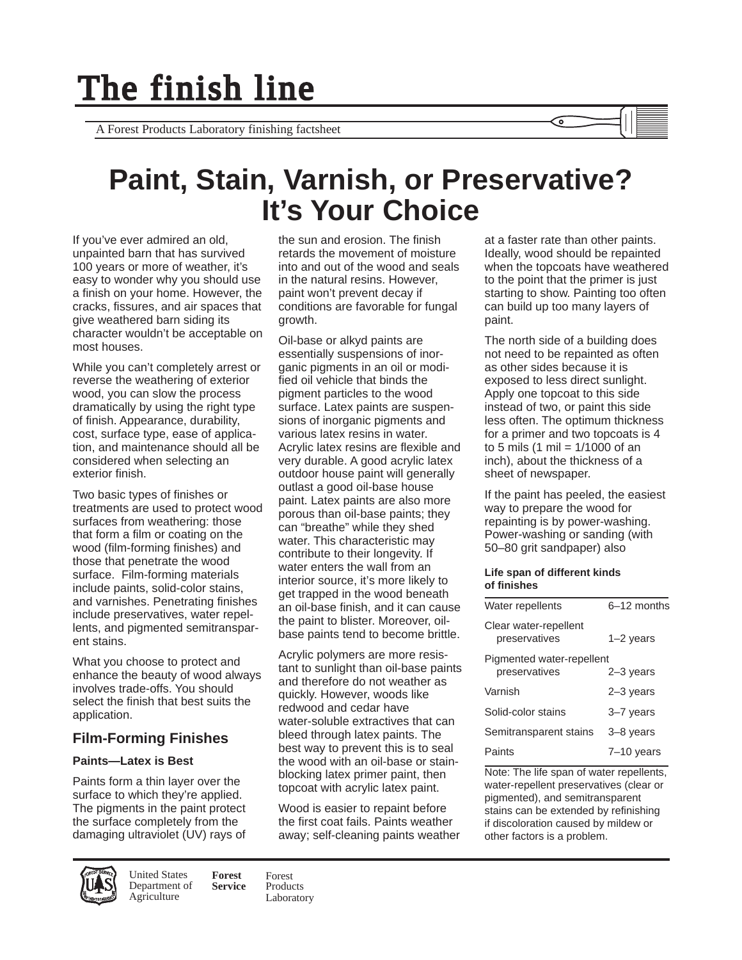A Forest Products Laboratory finishing factsheet

# **Paint, Stain, Varnish, or Preservative? It's Your Choice**

If you've ever admired an old, unpainted barn that has survived 100 years or more of weather, it's easy to wonder why you should use a finish on your home. However, the cracks, fissures, and air spaces that give weathered barn siding its character wouldn't be acceptable on most houses.

While you can't completely arrest or reverse the weathering of exterior wood, you can slow the process dramatically by using the right type of finish. Appearance, durability, cost, surface type, ease of application, and maintenance should all be considered when selecting an exterior finish.

Two basic types of finishes or treatments are used to protect wood surfaces from weathering: those that form a film or coating on the wood (film-forming finishes) and those that penetrate the wood surface. Film-forming materials include paints, solid-color stains, and varnishes. Penetrating finishes include preservatives, water repellents, and pigmented semitransparent stains.

What you choose to protect and enhance the beauty of wood always involves trade-offs. You should select the finish that best suits the application.

# **Film-Forming Finishes**

## **Paints—Latex is Best**

Paints form a thin layer over the surface to which they're applied. The pigments in the paint protect the surface completely from the damaging ultraviolet (UV) rays of

**Forest Service** United States Department of **Agriculture** 

the sun and erosion. The finish retards the movement of moisture into and out of the wood and seals in the natural resins. However, paint won't prevent decay if conditions are favorable for fungal growth.

Oil-base or alkyd paints are essentially suspensions of inorganic pigments in an oil or modified oil vehicle that binds the pigment particles to the wood surface. Latex paints are suspensions of inorganic pigments and various latex resins in water. Acrylic latex resins are flexible and very durable. A good acrylic latex outdoor house paint will generally outlast a good oil-base house paint. Latex paints are also more porous than oil-base paints; they can "breathe" while they shed water. This characteristic may contribute to their longevity. If water enters the wall from an interior source, it's more likely to get trapped in the wood beneath an oil-base finish, and it can cause the paint to blister. Moreover, oilbase paints tend to become brittle.

Acrylic polymers are more resistant to sunlight than oil-base paints and therefore do not weather as quickly. However, woods like redwood and cedar have water-soluble extractives that can bleed through latex paints. The best way to prevent this is to seal the wood with an oil-base or stainblocking latex primer paint, then topcoat with acrylic latex paint.

Wood is easier to repaint before the first coat fails. Paints weather away; self-cleaning paints weather at a faster rate than other paints. Ideally, wood should be repainted when the topcoats have weathered to the point that the primer is just starting to show. Painting too often can build up too many layers of paint.

The north side of a building does not need to be repainted as often as other sides because it is exposed to less direct sunlight. Apply one topcoat to this side instead of two, or paint this side less often. The optimum thickness for a primer and two topcoats is 4 to 5 mils (1 mil = 1/1000 of an inch), about the thickness of a sheet of newspaper.

If the paint has peeled, the easiest way to prepare the wood for repainting is by power-washing. Power-washing or sanding (with 50–80 grit sandpaper) also

#### **Life span of different kinds of finishes**

| Water repellents                           | 6-12 months |
|--------------------------------------------|-------------|
| Clear water-repellent<br>preservatives     | $1-2$ years |
| Pigmented water-repellent<br>preservatives | $2-3$ years |
| Varnish                                    | $2-3$ years |
| Solid-color stains                         | 3-7 years   |
| Semitransparent stains                     | 3-8 years   |
| Paints                                     | 7-10 vears  |

Note: The life span of water repellents, water-repellent preservatives (clear or pigmented), and semitransparent stains can be extended by refinishing if discoloration caused by mildew or other factors is a problem.

Forest Products Laboratory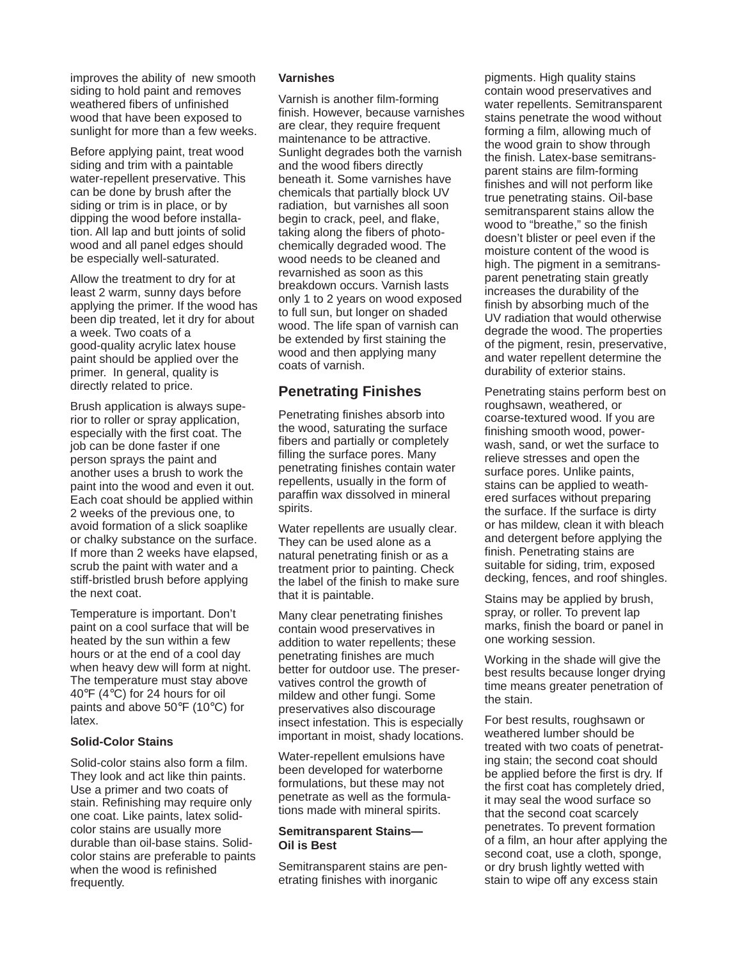improves the ability of new smooth siding to hold paint and removes weathered fibers of unfinished wood that have been exposed to sunlight for more than a few weeks.

Before applying paint, treat wood siding and trim with a paintable water-repellent preservative. This can be done by brush after the siding or trim is in place, or by dipping the wood before installation. All lap and butt joints of solid wood and all panel edges should be especially well-saturated.

Allow the treatment to dry for at least 2 warm, sunny days before applying the primer. If the wood has been dip treated, let it dry for about a week. Two coats of a good-quality acrylic latex house paint should be applied over the primer. In general, quality is directly related to price.

Brush application is always superior to roller or spray application, especially with the first coat. The job can be done faster if one person sprays the paint and another uses a brush to work the paint into the wood and even it out. Each coat should be applied within 2 weeks of the previous one, to avoid formation of a slick soaplike or chalky substance on the surface. If more than 2 weeks have elapsed, scrub the paint with water and a stiff-bristled brush before applying the next coat.

Temperature is important. Don't paint on a cool surface that will be heated by the sun within a few hours or at the end of a cool day when heavy dew will form at night. The temperature must stay above 40°F (4°C) for 24 hours for oil paints and above 50°F (10°C) for latex.

### **Solid-Color Stains**

Solid-color stains also form a film. They look and act like thin paints. Use a primer and two coats of stain. Refinishing may require only one coat. Like paints, latex solidcolor stains are usually more durable than oil-base stains. Solidcolor stains are preferable to paints when the wood is refinished frequently.

#### **Varnishes**

Varnish is another film-forming finish. However, because varnishes are clear, they require frequent maintenance to be attractive. Sunlight degrades both the varnish and the wood fibers directly beneath it. Some varnishes have chemicals that partially block UV radiation, but varnishes all soon begin to crack, peel, and flake, taking along the fibers of photochemically degraded wood. The wood needs to be cleaned and revarnished as soon as this breakdown occurs. Varnish lasts only 1 to 2 years on wood exposed to full sun, but longer on shaded wood. The life span of varnish can be extended by first staining the wood and then applying many coats of varnish.

## **Penetrating Finishes**

Penetrating finishes absorb into the wood, saturating the surface fibers and partially or completely filling the surface pores. Many penetrating finishes contain water repellents, usually in the form of paraffin wax dissolved in mineral spirits.

Water repellents are usually clear. They can be used alone as a natural penetrating finish or as a treatment prior to painting. Check the label of the finish to make sure that it is paintable.

Many clear penetrating finishes contain wood preservatives in addition to water repellents; these penetrating finishes are much better for outdoor use. The preservatives control the growth of mildew and other fungi. Some preservatives also discourage insect infestation. This is especially important in moist, shady locations.

Water-repellent emulsions have been developed for waterborne formulations, but these may not penetrate as well as the formulations made with mineral spirits.

### **Semitransparent Stains— Oil is Best**

Semitransparent stains are penetrating finishes with inorganic

pigments. High quality stains contain wood preservatives and water repellents. Semitransparent stains penetrate the wood without forming a film, allowing much of the wood grain to show through the finish. Latex-base semitransparent stains are film-forming finishes and will not perform like true penetrating stains. Oil-base semitransparent stains allow the wood to "breathe," so the finish doesn't blister or peel even if the moisture content of the wood is high. The pigment in a semitransparent penetrating stain greatly increases the durability of the finish by absorbing much of the UV radiation that would otherwise degrade the wood. The properties of the pigment, resin, preservative, and water repellent determine the durability of exterior stains.

Penetrating stains perform best on roughsawn, weathered, or coarse-textured wood. If you are finishing smooth wood, powerwash, sand, or wet the surface to relieve stresses and open the surface pores. Unlike paints, stains can be applied to weathered surfaces without preparing the surface. If the surface is dirty or has mildew, clean it with bleach and detergent before applying the finish. Penetrating stains are suitable for siding, trim, exposed decking, fences, and roof shingles.

Stains may be applied by brush, spray, or roller. To prevent lap marks, finish the board or panel in one working session.

Working in the shade will give the best results because longer drying time means greater penetration of the stain.

For best results, roughsawn or weathered lumber should be treated with two coats of penetrating stain; the second coat should be applied before the first is dry. If the first coat has completely dried, it may seal the wood surface so that the second coat scarcely penetrates. To prevent formation of a film, an hour after applying the second coat, use a cloth, sponge, or dry brush lightly wetted with stain to wipe off any excess stain